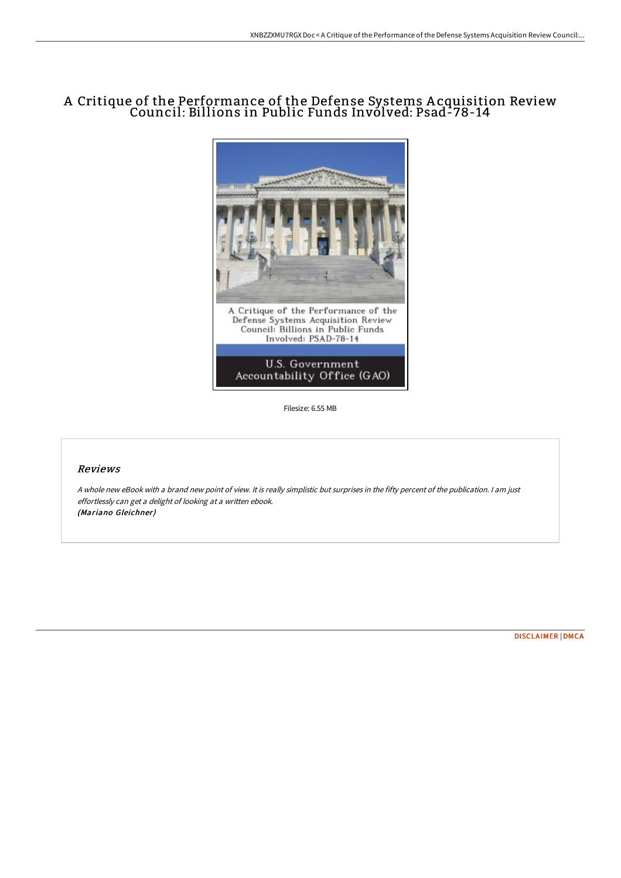# A Critique of the Performance of the Defense Systems A cquisition Review Council: Billions in Public Funds Involved: Psad-78-14



Filesize: 6.55 MB

## Reviews

A whole new eBook with <sup>a</sup> brand new point of view. It is really simplistic but surprises in the fifty percent of the publication. I am just effortlessly can get <sup>a</sup> delight of looking at <sup>a</sup> written ebook. (Mariano Gleichner)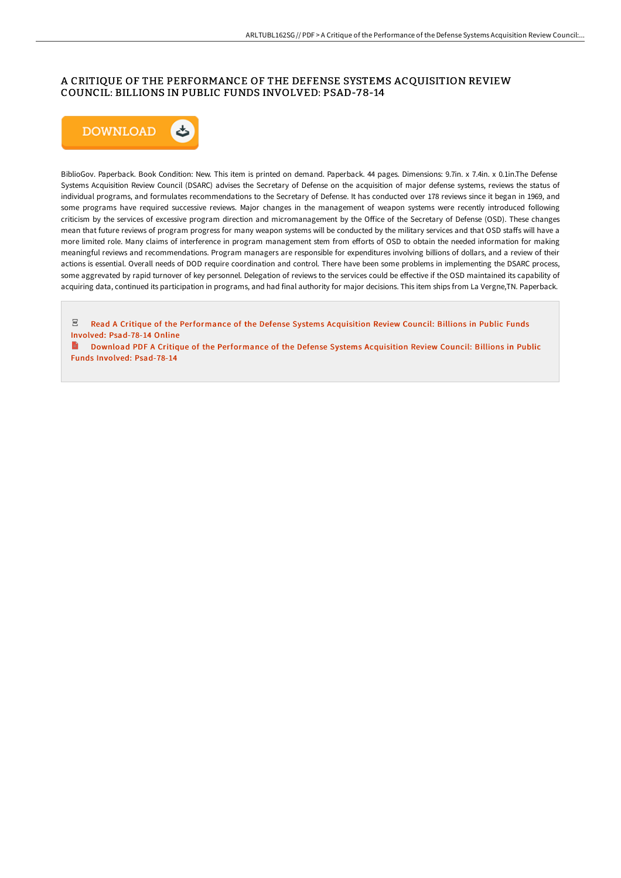## A CRITIQUE OF THE PERFORMANCE OF THE DEFENSE SYSTEMS ACQUISITION REVIEW COUNCIL: BILLIONS IN PUBLIC FUNDS INVOLVED: PSAD-78-14



BiblioGov. Paperback. Book Condition: New. This item is printed on demand. Paperback. 44 pages. Dimensions: 9.7in. x 7.4in. x 0.1in.The Defense Systems Acquisition Review Council (DSARC) advises the Secretary of Defense on the acquisition of major defense systems, reviews the status of individual programs, and formulates recommendations to the Secretary of Defense. It has conducted over 178 reviews since it began in 1969, and some programs have required successive reviews. Major changes in the management of weapon systems were recently introduced following criticism by the services of excessive program direction and micromanagement by the Office of the Secretary of Defense (OSD). These changes mean that future reviews of program progress for many weapon systems will be conducted by the military services and that OSD staffs will have a more limited role. Many claims of interference in program management stem from efforts of OSD to obtain the needed information for making meaningful reviews and recommendations. Program managers are responsible for expenditures involving billions of dollars, and a review of their actions is essential. Overall needs of DOD require coordination and control. There have been some problems in implementing the DSARC process, some aggrevated by rapid turnover of key personnel. Delegation of reviews to the services could be effective if the OSD maintained its capability of acquiring data, continued its participation in programs, and had final authority for major decisions. This item ships from La Vergne,TN. Paperback.

 $_{\rm PDF}$ Read A Critique of the [Performance](http://www.bookdirs.com/a-critique-of-the-performance-of-the-defense-sys.html) of the Defense Systems Acquisition Review Council: Billions in Public Funds Involved: Psad-78-14 Online

B Download PDF A Critique of the [Performance](http://www.bookdirs.com/a-critique-of-the-performance-of-the-defense-sys.html) of the Defense Systems Acquisition Review Council: Billions in Public Funds Involved: Psad-78-14